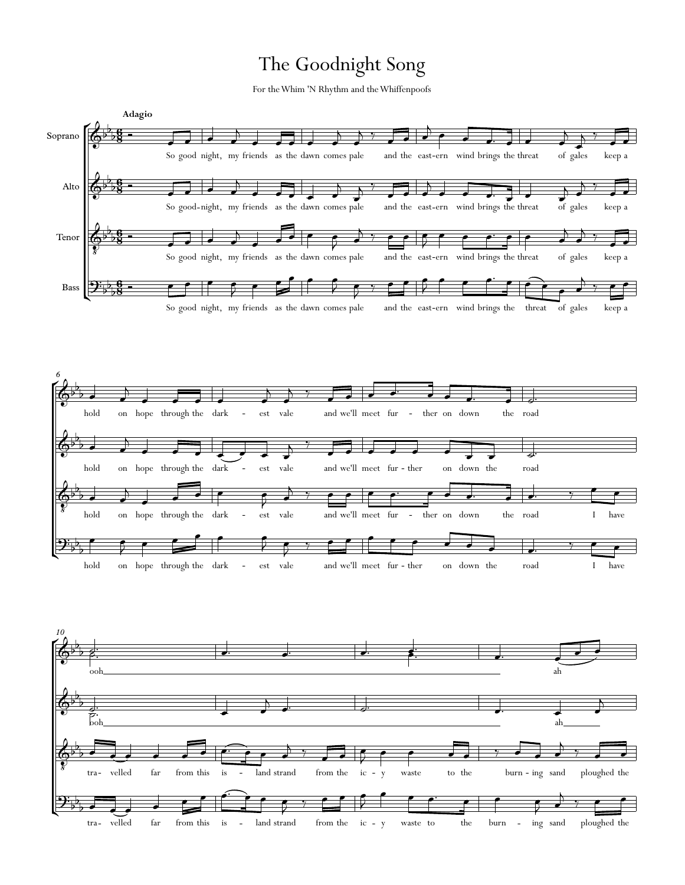## The Goodnight Song

For theWhim 'N Rhythm and theWhiffenpoofs



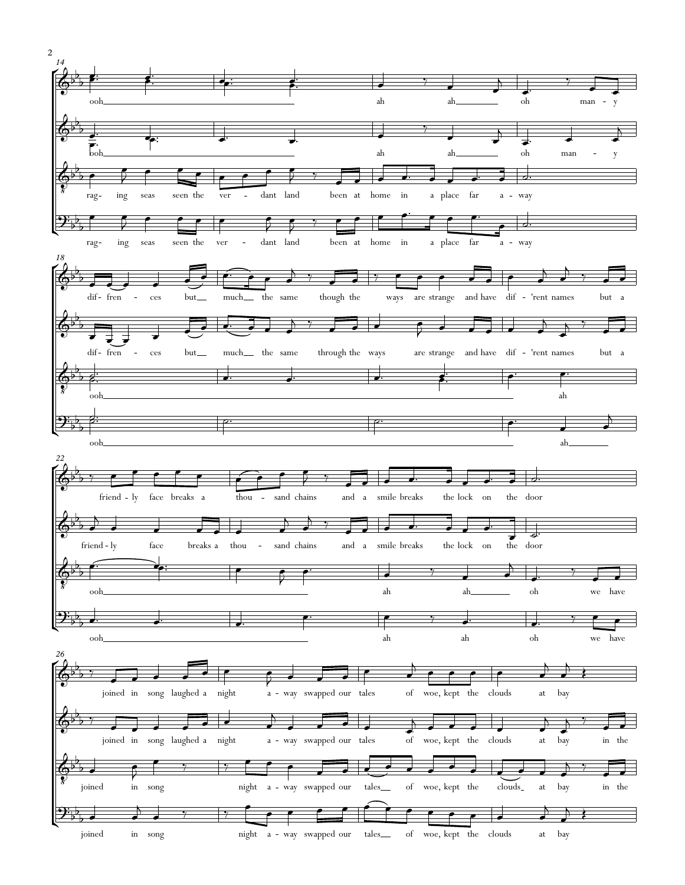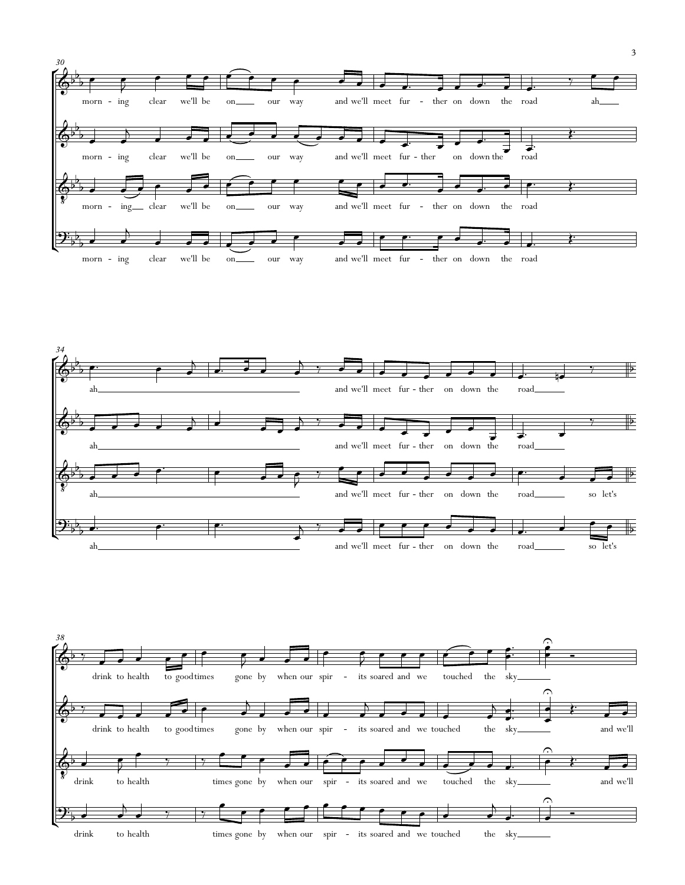